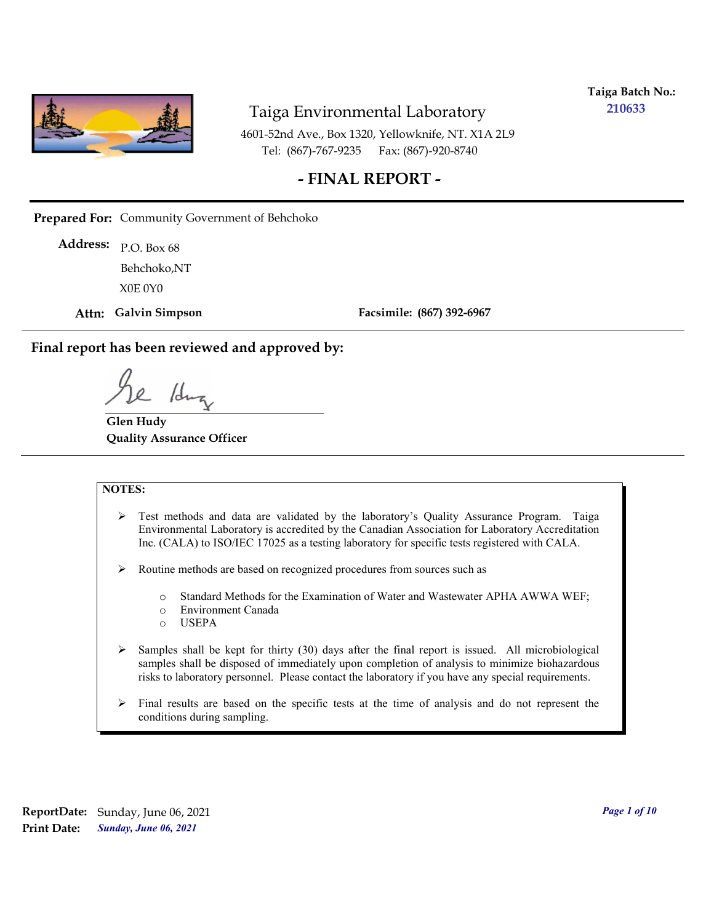

**Taiga Batch No.: 210633**

4601-52nd Ave., Box 1320, Yellowknife, NT. X1A 2L9 Tel: (867)-767-9235 Fax: (867)-920-8740

# **- FINAL REPORT -**

**Prepared For:** Community Government of Behchoko

P.O. Box 68 **Address:** X0E 0Y0 Behchoko,NT

**Attn: Galvin Simpson**

**Facsimile: (867) 392-6967**

**Final report has been reviewed and approved by:**

1dr

**Glen Hudy Quality Assurance Officer**

#### **NOTES:**

- $\triangleright$  Test methods and data are validated by the laboratory's Quality Assurance Program. Taiga Environmental Laboratory is accredited by the Canadian Association for Laboratory Accreditation Inc. (CALA) to ISO/IEC 17025 as a testing laboratory for specific tests registered with CALA.
- Routine methods are based on recognized procedures from sources such as
	- o Standard Methods for the Examination of Water and Wastewater APHA AWWA WEF;
	- o Environment Canada
	- o USEPA
- $\triangleright$  Samples shall be kept for thirty (30) days after the final report is issued. All microbiological samples shall be disposed of immediately upon completion of analysis to minimize biohazardous risks to laboratory personnel. Please contact the laboratory if you have any special requirements.
- $\triangleright$  Final results are based on the specific tests at the time of analysis and do not represent the conditions during sampling.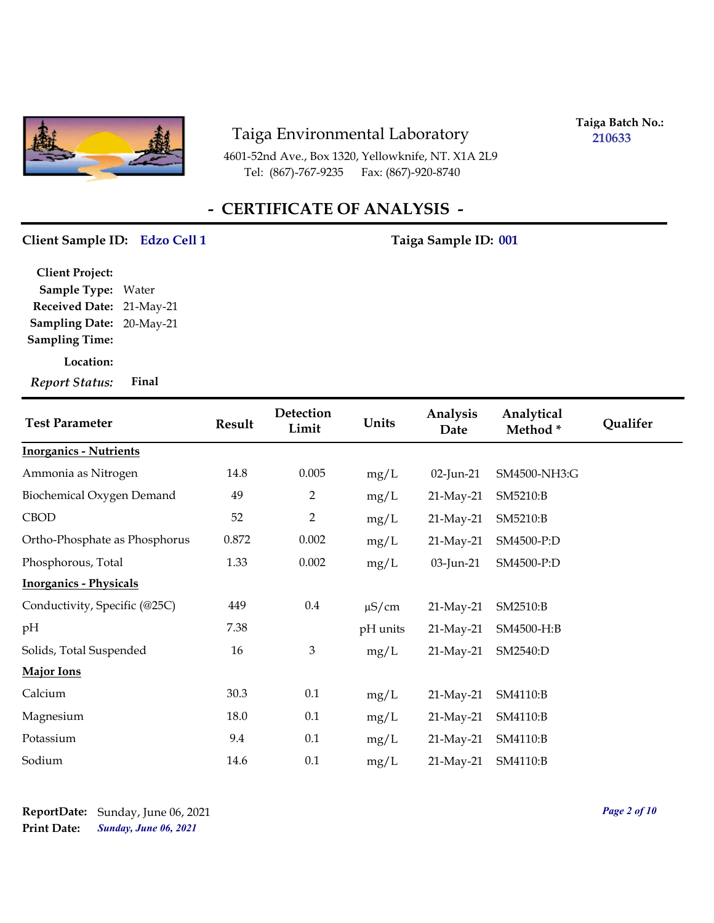

4601-52nd Ave., Box 1320, Yellowknife, NT. X1A 2L9 Tel: (867)-767-9235 Fax: (867)-920-8740

**Taiga Batch No.: 210633**

# **- CERTIFICATE OF ANALYSIS -**

#### **Client Sample ID: Taiga Sample ID: Edzo Cell 1 001**

**Location: Sampling Date:** 20-May-21 **Received Date:** 21-May-21 **Client Project: Sample Type:** Water **Sampling Time:** *Report Status:* **Final**

| <b>Test Parameter</b>         | <b>Result</b> | Detection<br>Limit | Units      | Analysis<br>Date | Analytical<br>Method* | Qualifer |
|-------------------------------|---------------|--------------------|------------|------------------|-----------------------|----------|
| <b>Inorganics - Nutrients</b> |               |                    |            |                  |                       |          |
| Ammonia as Nitrogen           | 14.8          | 0.005              | mg/L       | 02-Jun-21        | SM4500-NH3:G          |          |
| Biochemical Oxygen Demand     | 49            | $\overline{2}$     | mg/L       | 21-May-21        | SM5210:B              |          |
| <b>CBOD</b>                   | 52            | $\overline{2}$     | mg/L       | 21-May-21        | SM5210:B              |          |
| Ortho-Phosphate as Phosphorus | 0.872         | 0.002              | mg/L       | 21-May-21        | SM4500-P:D            |          |
| Phosphorous, Total            | 1.33          | 0.002              | mg/L       | 03-Jun-21        | SM4500-P:D            |          |
| <b>Inorganics - Physicals</b> |               |                    |            |                  |                       |          |
| Conductivity, Specific (@25C) | 449           | $0.4\,$            | $\mu$ S/cm | 21-May-21        | SM2510:B              |          |
| pH                            | 7.38          |                    | pH units   | 21-May-21        | SM4500-H:B            |          |
| Solids, Total Suspended       | 16            | $\mathfrak{Z}$     | mg/L       | 21-May-21        | SM2540:D              |          |
| Major Ions                    |               |                    |            |                  |                       |          |
| Calcium                       | 30.3          | 0.1                | mg/L       | 21-May-21        | SM4110:B              |          |
| Magnesium                     | 18.0          | 0.1                | mg/L       | 21-May-21        | SM4110:B              |          |
| Potassium                     | 9.4           | 0.1                | mg/L       | 21-May-21        | SM4110:B              |          |
| Sodium                        | 14.6          | 0.1                | mg/L       | $21$ -May-21     | SM4110:B              |          |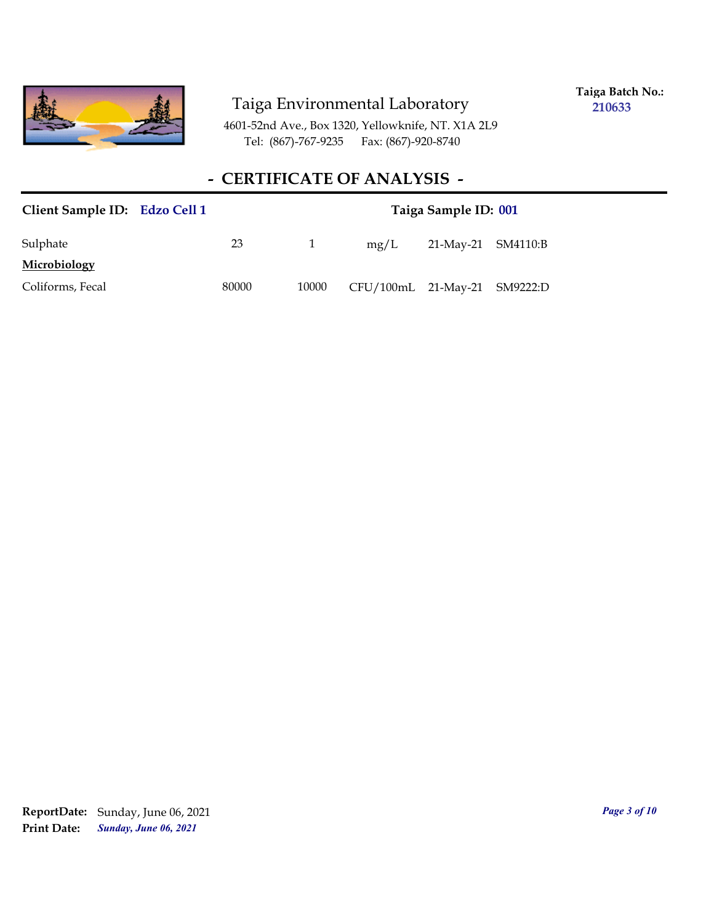

**Taiga Batch No.: 210633**

4601-52nd Ave., Box 1320, Yellowknife, NT. X1A 2L9 Tel: (867)-767-9235 Fax: (867)-920-8740

# **- CERTIFICATE OF ANALYSIS -**

| Client Sample ID: Edzo Cell 1 |       | Taiga Sample ID: 001 |                              |                    |  |  |  |  |
|-------------------------------|-------|----------------------|------------------------------|--------------------|--|--|--|--|
| Sulphate                      | 23    |                      | mg/L                         | 21-May-21 SM4110:B |  |  |  |  |
| Microbiology                  |       |                      |                              |                    |  |  |  |  |
| Coliforms, Fecal              | 80000 | 10000                | CFU/100mL 21-May-21 SM9222:D |                    |  |  |  |  |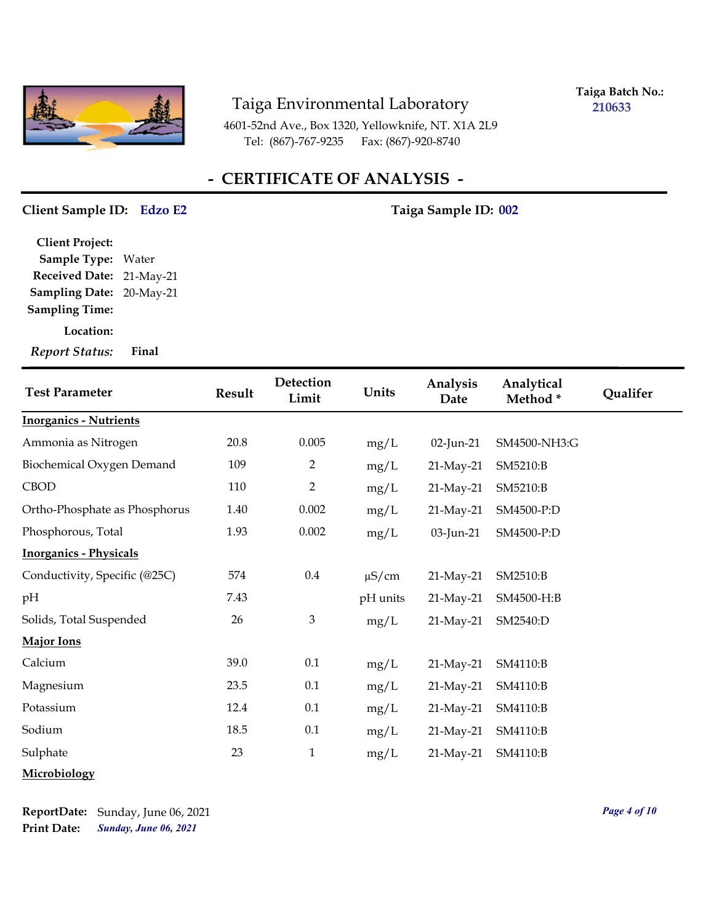

**Taiga Batch No.: 210633**

4601-52nd Ave., Box 1320, Yellowknife, NT. X1A 2L9 Tel: (867)-767-9235 Fax: (867)-920-8740

# **- CERTIFICATE OF ANALYSIS -**

#### **Client Sample ID: Taiga Sample ID: Edzo E2 002**

**Sampling Date:** 20-May-21 **Received Date:** 21-May-21 **Client Project: Sample Type:** Water **Sampling Time:**

**Location:**

*Report Status:* **Final**

| <b>Test Parameter</b>         | <b>Result</b> | Detection<br>Limit | Units      | Analysis<br>Date | Analytical<br>Method* | Qualifer |
|-------------------------------|---------------|--------------------|------------|------------------|-----------------------|----------|
| <b>Inorganics - Nutrients</b> |               |                    |            |                  |                       |          |
| Ammonia as Nitrogen           | 20.8          | 0.005              | mg/L       | 02-Jun-21        | SM4500-NH3:G          |          |
| Biochemical Oxygen Demand     | 109           | $\overline{2}$     | mg/L       | 21-May-21        | SM5210:B              |          |
| <b>CBOD</b>                   | 110           | $\overline{2}$     | mg/L       | 21-May-21        | SM5210:B              |          |
| Ortho-Phosphate as Phosphorus | 1.40          | 0.002              | mg/L       | 21-May-21        | SM4500-P:D            |          |
| Phosphorous, Total            | 1.93          | 0.002              | mg/L       | 03-Jun-21        | SM4500-P:D            |          |
| <b>Inorganics - Physicals</b> |               |                    |            |                  |                       |          |
| Conductivity, Specific (@25C) | 574           | $0.4\,$            | $\mu$ S/cm | 21-May-21        | SM2510:B              |          |
| pH                            | 7.43          |                    | pH units   | 21-May-21        | SM4500-H:B            |          |
| Solids, Total Suspended       | 26            | 3                  | mg/L       | 21-May-21        | SM2540:D              |          |
| <b>Major Ions</b>             |               |                    |            |                  |                       |          |
| Calcium                       | 39.0          | 0.1                | mg/L       | 21-May-21        | SM4110:B              |          |
| Magnesium                     | 23.5          | 0.1                | mg/L       | 21-May-21        | SM4110:B              |          |
| Potassium                     | 12.4          | 0.1                | mg/L       | 21-May-21        | SM4110:B              |          |
| Sodium                        | 18.5          | 0.1                | mg/L       | 21-May-21        | SM4110:B              |          |
| Sulphate                      | 23            | $\mathbf{1}$       | mg/L       | 21-May-21        | SM4110:B              |          |
| Microbiology                  |               |                    |            |                  |                       |          |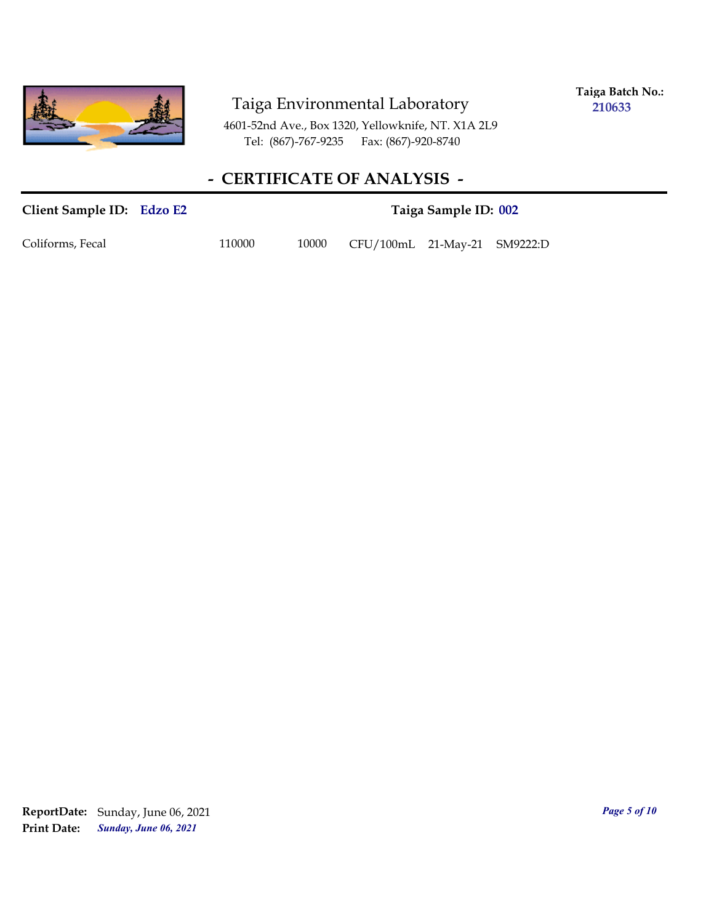

**Taiga Batch No.: 210633**

4601-52nd Ave., Box 1320, Yellowknife, NT. X1A 2L9 Tel: (867)-767-9235 Fax: (867)-920-8740

# **- CERTIFICATE OF ANALYSIS -**

### **Client Sample ID: Taiga Sample ID: Edzo E2 002**

Coliforms, Fecal 110000 10000 CFU/100mL 21-May-21 SM9222:D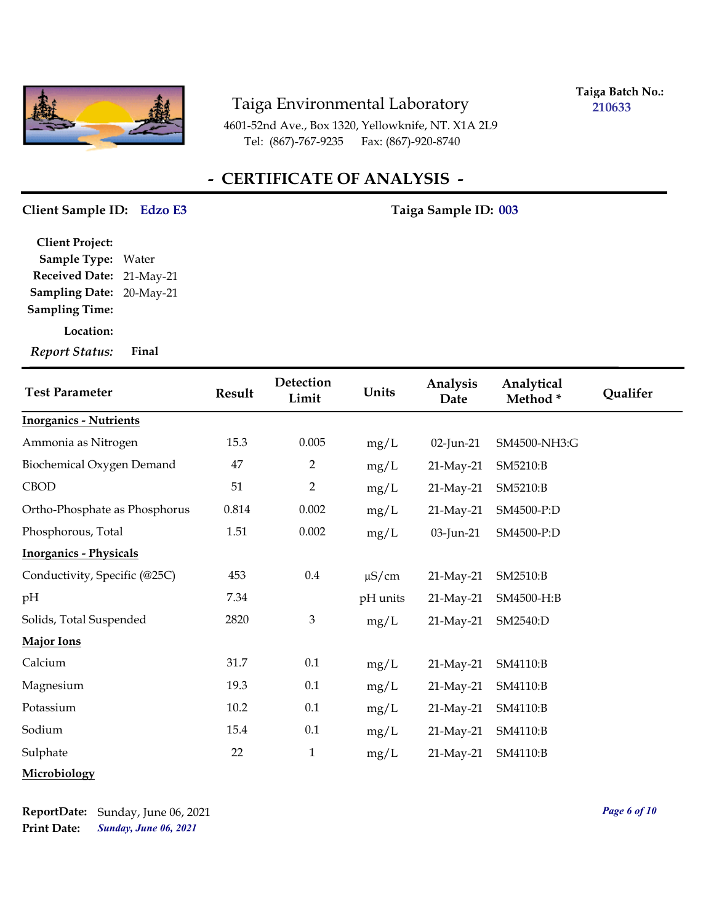

**Taiga Batch No.: 210633**

4601-52nd Ave., Box 1320, Yellowknife, NT. X1A 2L9 Tel: (867)-767-9235 Fax: (867)-920-8740

# **- CERTIFICATE OF ANALYSIS -**

#### **Client Sample ID: Taiga Sample ID: Edzo E3 003**

**Sampling Date:** 20-May-21 **Received Date:** 21-May-21 **Client Project: Sample Type:** Water **Sampling Time:**

**Location:**

*Report Status:* **Final**

| <b>Test Parameter</b>         | <b>Result</b> | Detection<br>Limit | Units      | Analysis<br>Date | Analytical<br>Method* | Qualifer |
|-------------------------------|---------------|--------------------|------------|------------------|-----------------------|----------|
| <b>Inorganics - Nutrients</b> |               |                    |            |                  |                       |          |
| Ammonia as Nitrogen           | 15.3          | 0.005              | mg/L       | 02-Jun-21        | SM4500-NH3:G          |          |
| Biochemical Oxygen Demand     | 47            | $\overline{2}$     | mg/L       | 21-May-21        | SM5210:B              |          |
| <b>CBOD</b>                   | 51            | $\overline{2}$     | mg/L       | 21-May-21        | SM5210:B              |          |
| Ortho-Phosphate as Phosphorus | 0.814         | 0.002              | mg/L       | 21-May-21        | SM4500-P:D            |          |
| Phosphorous, Total            | 1.51          | 0.002              | mg/L       | 03-Jun-21        | SM4500-P:D            |          |
| <b>Inorganics - Physicals</b> |               |                    |            |                  |                       |          |
| Conductivity, Specific (@25C) | 453           | $0.4\,$            | $\mu$ S/cm | 21-May-21        | SM2510:B              |          |
| pH                            | 7.34          |                    | pH units   | 21-May-21        | SM4500-H:B            |          |
| Solids, Total Suspended       | 2820          | 3                  | mg/L       | 21-May-21        | SM2540:D              |          |
| <b>Major Ions</b>             |               |                    |            |                  |                       |          |
| Calcium                       | 31.7          | 0.1                | mg/L       | 21-May-21        | SM4110:B              |          |
| Magnesium                     | 19.3          | 0.1                | mg/L       | 21-May-21        | SM4110:B              |          |
| Potassium                     | 10.2          | 0.1                | mg/L       | 21-May-21        | SM4110:B              |          |
| Sodium                        | 15.4          | 0.1                | mg/L       | 21-May-21        | SM4110:B              |          |
| Sulphate                      | 22            | $\mathbf{1}$       | mg/L       | 21-May-21        | SM4110:B              |          |
| Microbiology                  |               |                    |            |                  |                       |          |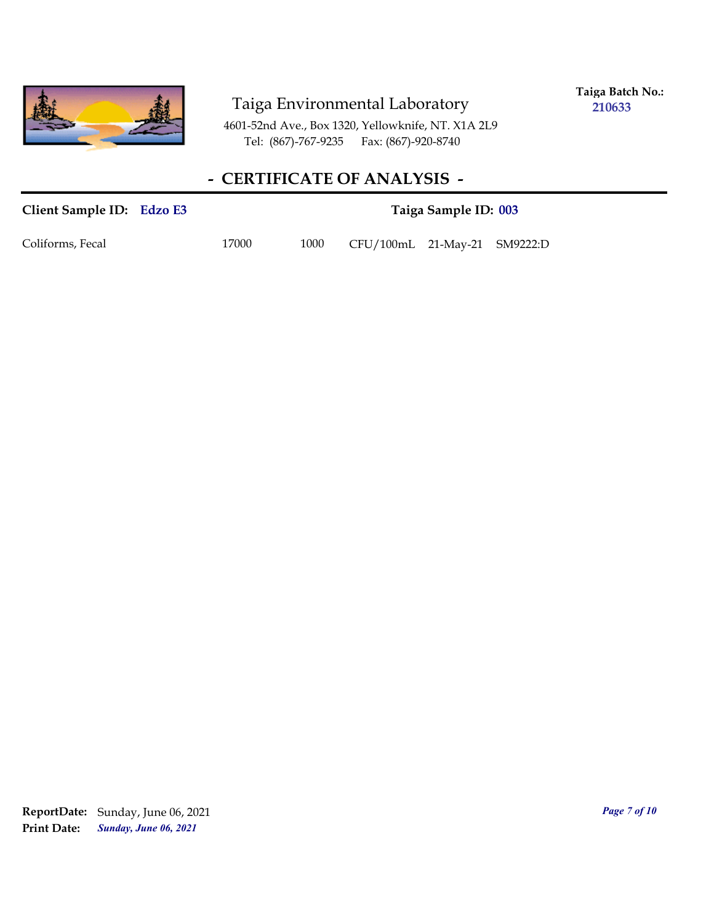

**Taiga Batch No.: 210633**

4601-52nd Ave., Box 1320, Yellowknife, NT. X1A 2L9 Tel: (867)-767-9235 Fax: (867)-920-8740

# **- CERTIFICATE OF ANALYSIS -**

# **Client Sample ID: Taiga Sample ID: Edzo E3 003** Coliforms, Fecal 17000 1000 CFU/100mL 21-May-21 SM9222:D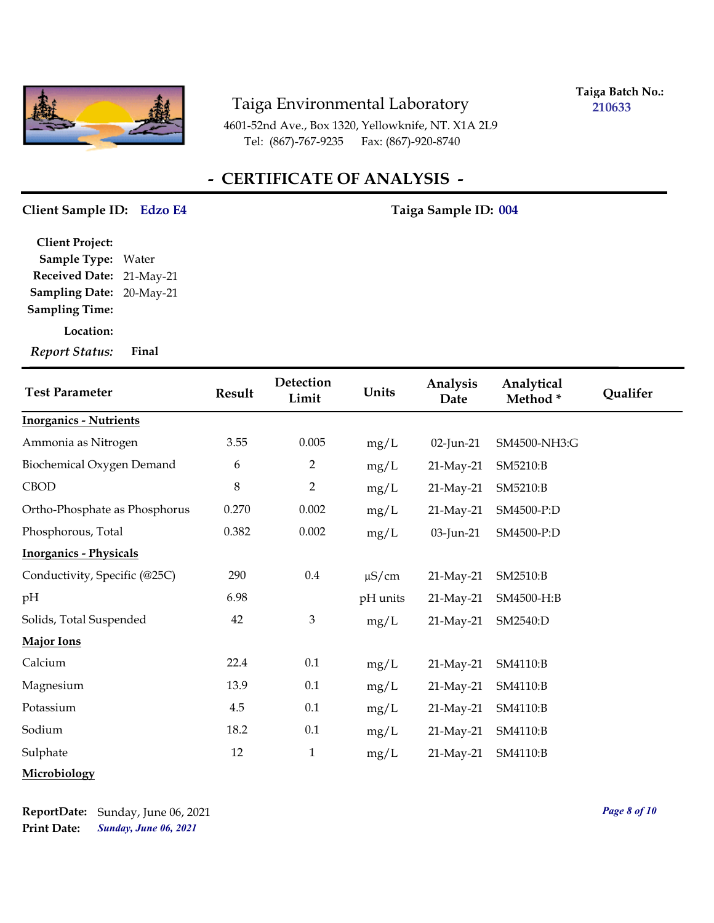

**Taiga Batch No.: 210633**

4601-52nd Ave., Box 1320, Yellowknife, NT. X1A 2L9 Tel: (867)-767-9235 Fax: (867)-920-8740

# **- CERTIFICATE OF ANALYSIS -**

#### **Client Sample ID: Taiga Sample ID: Edzo E4 004**

**Sampling Date:** 20-May-21 **Received Date:** 21-May-21 **Client Project: Sample Type:** Water **Sampling Time:**

**Location:**

*Report Status:* **Final**

| <b>Test Parameter</b>         | <b>Result</b> | Detection<br>Limit | Units      | Analysis<br>Date | Analytical<br>Method* | Qualifer |
|-------------------------------|---------------|--------------------|------------|------------------|-----------------------|----------|
| <b>Inorganics - Nutrients</b> |               |                    |            |                  |                       |          |
| Ammonia as Nitrogen           | 3.55          | 0.005              | mg/L       | 02-Jun-21        | SM4500-NH3:G          |          |
| Biochemical Oxygen Demand     | 6             | $\overline{2}$     | mg/L       | 21-May-21        | SM5210:B              |          |
| <b>CBOD</b>                   | $\,8\,$       | $\overline{2}$     | mg/L       | 21-May-21        | SM5210:B              |          |
| Ortho-Phosphate as Phosphorus | 0.270         | 0.002              | mg/L       | 21-May-21        | SM4500-P:D            |          |
| Phosphorous, Total            | 0.382         | 0.002              | mg/L       | 03-Jun-21        | SM4500-P:D            |          |
| <b>Inorganics - Physicals</b> |               |                    |            |                  |                       |          |
| Conductivity, Specific (@25C) | 290           | $0.4\,$            | $\mu$ S/cm | 21-May-21        | SM2510:B              |          |
| pH                            | 6.98          |                    | pH units   | 21-May-21        | SM4500-H:B            |          |
| Solids, Total Suspended       | 42            | $\mathfrak{Z}$     | mg/L       | 21-May-21        | SM2540:D              |          |
| <b>Major Ions</b>             |               |                    |            |                  |                       |          |
| Calcium                       | 22.4          | 0.1                | mg/L       | 21-May-21        | SM4110:B              |          |
| Magnesium                     | 13.9          | 0.1                | mg/L       | 21-May-21        | SM4110:B              |          |
| Potassium                     | 4.5           | 0.1                | mg/L       | 21-May-21        | SM4110:B              |          |
| Sodium                        | 18.2          | 0.1                | mg/L       | 21-May-21        | SM4110:B              |          |
| Sulphate                      | 12            | $\mathbf{1}$       | mg/L       | 21-May-21        | SM4110:B              |          |
| Microbiology                  |               |                    |            |                  |                       |          |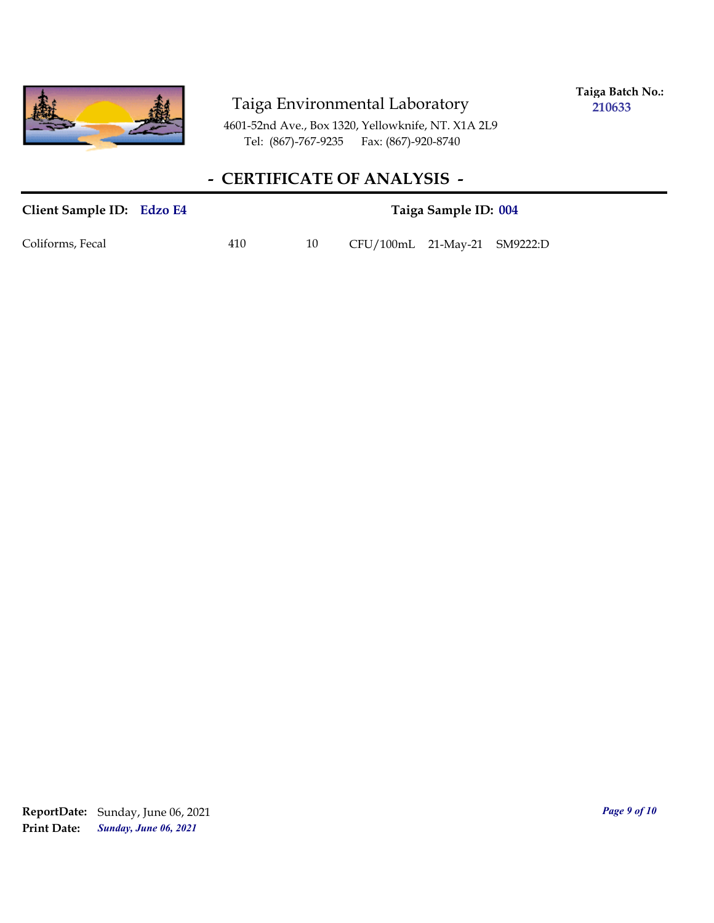

**Taiga Batch No.: 210633**

4601-52nd Ave., Box 1320, Yellowknife, NT. X1A 2L9 Tel: (867)-767-9235 Fax: (867)-920-8740

# **- CERTIFICATE OF ANALYSIS -**

# Client Sample ID: Edzo E4 **1988** Taiga Sample ID: 004 Coliforms, Fecal 410 410 CFU/100mL 21-May-21 SM9222:D

*Sunday, June 06, 2021* **Print Date: ReportDate:** Sunday, June 06, 2021